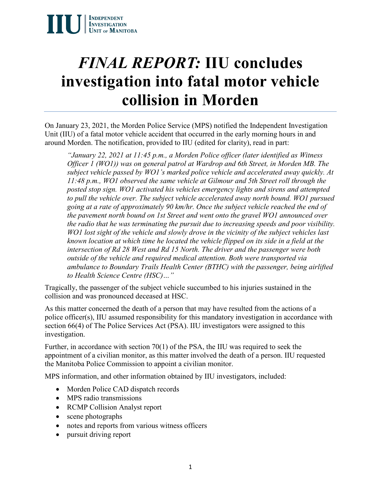

## *FINAL REPORT:* **IIU concludes investigation into fatal motor vehicle collision in Morden**

On January 23, 2021, the Morden Police Service (MPS) notified the Independent Investigation Unit (IIU) of a fatal motor vehicle accident that occurred in the early morning hours in and around Morden. The notification, provided to IIU (edited for clarity), read in part:

*"January 22, 2021 at 11:45 p.m., a Morden Police officer (later identified as Witness Officer 1 (WO1)) was on general patrol at Wardrop and 6th Street, in Morden MB. The subject vehicle passed by WO1's marked police vehicle and accelerated away quickly. At 11:48 p.m., WO1 observed the same vehicle at Gilmour and 5th Street roll through the posted stop sign. WO1 activated his vehicles emergency lights and sirens and attempted to pull the vehicle over. The subject vehicle accelerated away north bound. WO1 pursued going at a rate of approximately 90 km/hr. Once the subject vehicle reached the end of the pavement north bound on 1st Street and went onto the gravel WO1 announced over the radio that he was terminating the pursuit due to increasing speeds and poor visibility. WO1 lost sight of the vehicle and slowly drove in the vicinity of the subject vehicles last known location at which time he located the vehicle flipped on its side in a field at the intersection of Rd 28 West and Rd 15 North. The driver and the passenger were both outside of the vehicle and required medical attention. Both were transported via ambulance to Boundary Trails Health Center (BTHC) with the passenger, being airlifted to Health Science Centre (HSC)…"*

Tragically, the passenger of the subject vehicle succumbed to his injuries sustained in the collision and was pronounced deceased at HSC.

As this matter concerned the death of a person that may have resulted from the actions of a police officer(s), IIU assumed responsibility for this mandatory investigation in accordance with section 66(4) of The Police Services Act (PSA). IIU investigators were assigned to this investigation.

Further, in accordance with section 70(1) of the PSA, the IIU was required to seek the appointment of a civilian monitor, as this matter involved the death of a person. IIU requested the Manitoba Police Commission to appoint a civilian monitor.

MPS information, and other information obtained by IIU investigators, included:

- Morden Police CAD dispatch records
- MPS radio transmissions
- RCMP Collision Analyst report
- scene photographs
- notes and reports from various witness officers
- pursuit driving report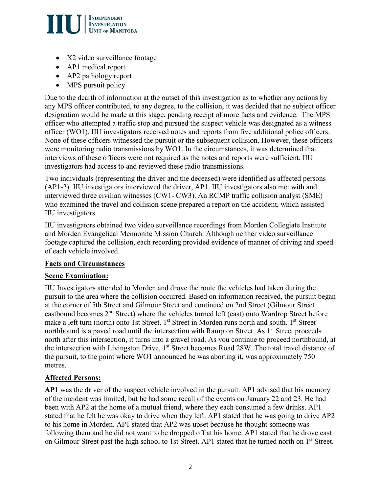

- X2 video surveillance footage
- AP1 medical report
- AP2 pathology report
- MPS pursuit policy

Due to the dearth of information at the outset of this investigation as to whether any actions by any MPS officer contributed, to any degree, to the collision, it was decided that no subject officer designation would be made at this stage, pending receipt of more facts and evidence. The MPS officer who attempted a traffic stop and pursued the suspect vehicle was designated as a witness officer (WO1). IIU investigators received notes and reports from five additional police officers. None of these officers witnessed the pursuit or the subsequent collision. However, these officers were monitoring radio transmissions by WO1. In the circumstances, it was determined that interviews of these officers were not required as the notes and reports were sufficient. IIU investigators had access to and reviewed these radio transmissions.

Two individuals (representing the driver and the deceased) were identified as affected persons (AP1-2). IIU investigators interviewed the driver, AP1. IIU investigators also met with and interviewed three civilian witnesses (CW1- CW3). An RCMP traffic collision analyst (SME) who examined the travel and collision scene prepared a report on the accident, which assisted IIU investigators.

IIU investigators obtained two video surveillance recordings from Morden Collegiate Institute and Morden Evangelical Mennonite Mission Church. Although neither video surveillance footage captured the collision, each recording provided evidence of manner of driving and speed of each vehicle involved.

#### **Facts and Circumstances**

#### **Scene Examination:**

IIU Investigators attended to Morden and drove the route the vehicles had taken during the pursuit to the area where the collision occurred. Based on information received, the pursuit began at the corner of 5th Street and Gilmour Street and continued on 2nd Street (Gilmour Street eastbound becomes 2<sup>nd</sup> Street) where the vehicles turned left (east) onto Wardrop Street before make a left turn (north) onto 1st Street. 1<sup>st</sup> Street in Morden runs north and south. 1<sup>st</sup> Street northbound is a paved road until the intersection with Rampton Street. As 1<sup>st</sup> Street proceeds north after this intersection, it turns into a gravel road. As you continue to proceed northbound, at the intersection with Livingston Drive, 1<sup>st</sup> Street becomes Road 28W. The total travel distance of the pursuit, to the point where WO1 announced he was aborting it, was approximately 750 metres.

#### **Affected Persons:**

**AP1** was the driver of the suspect vehicle involved in the pursuit. AP1 advised that his memory of the incident was limited, but he had some recall of the events on January 22 and 23. He had been with AP2 at the home of a mutual friend, where they each consumed a few drinks. AP1 stated that he felt he was okay to drive when they left. AP1 stated that he was going to drive AP2 to his home in Morden. AP1 stated that AP2 was upset because he thought someone was following them and he did not want to be dropped off at his home. AP1 stated that he drove east on Gilmour Street past the high school to 1st Street. AP1 stated that he turned north on 1<sup>st</sup> Street.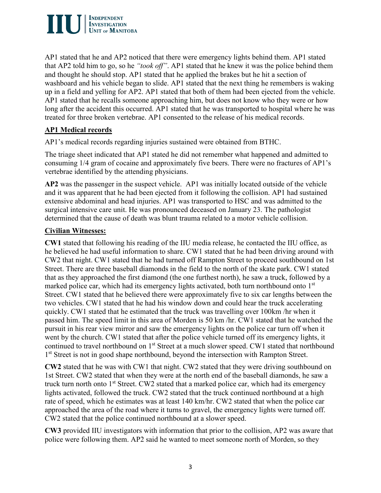

AP1 stated that he and AP2 noticed that there were emergency lights behind them. AP1 stated that AP2 told him to go, so he *"took off"*. AP1 stated that he knew it was the police behind them and thought he should stop. AP1 stated that he applied the brakes but he hit a section of washboard and his vehicle began to slide. AP1 stated that the next thing he remembers is waking up in a field and yelling for AP2. AP1 stated that both of them had been ejected from the vehicle. AP1 stated that he recalls someone approaching him, but does not know who they were or how long after the accident this occurred. AP1 stated that he was transported to hospital where he was treated for three broken vertebrae. AP1 consented to the release of his medical records.

#### **AP1 Medical records**

AP1's medical records regarding injuries sustained were obtained from BTHC.

The triage sheet indicated that AP1 stated he did not remember what happened and admitted to consuming 1/4 gram of cocaine and approximately five beers. There were no fractures of AP1's vertebrae identified by the attending physicians.

**AP2** was the passenger in the suspect vehicle. AP1 was initially located outside of the vehicle and it was apparent that he had been ejected from it following the collision. AP1 had sustained extensive abdominal and head injuries. AP1 was transported to HSC and was admitted to the surgical intensive care unit. He was pronounced deceased on January 23. The pathologist determined that the cause of death was blunt trauma related to a motor vehicle collision.

#### **Civilian Witnesses:**

**CW1** stated that following his reading of the IIU media release, he contacted the IIU office, as he believed he had useful information to share. CW1 stated that he had been driving around with CW2 that night. CW1 stated that he had turned off Rampton Street to proceed southbound on 1st Street. There are three baseball diamonds in the field to the north of the skate park. CW1 stated that as they approached the first diamond (the one furthest north), he saw a truck, followed by a marked police car, which had its emergency lights activated, both turn northbound onto 1<sup>st</sup> Street. CW1 stated that he believed there were approximately five to six car lengths between the two vehicles. CW1 stated that he had his window down and could hear the truck accelerating quickly. CW1 stated that he estimated that the truck was travelling over 100km /hr when it passed him. The speed limit in this area of Morden is 50 km /hr. CW1 stated that he watched the pursuit in his rear view mirror and saw the emergency lights on the police car turn off when it went by the church. CW1 stated that after the police vehicle turned off its emergency lights, it continued to travel northbound on 1<sup>st</sup> Street at a much slower speed. CW1 stated that northbound 1<sup>st</sup> Street is not in good shape northbound, beyond the intersection with Rampton Street.

**CW2** stated that he was with CW1 that night. CW2 stated that they were driving southbound on 1st Street. CW2 stated that when they were at the north end of the baseball diamonds, he saw a truck turn north onto 1<sup>st</sup> Street. CW2 stated that a marked police car, which had its emergency lights activated, followed the truck. CW2 stated that the truck continued northbound at a high rate of speed, which he estimates was at least 140 km/hr. CW2 stated that when the police car approached the area of the road where it turns to gravel, the emergency lights were turned off. CW2 stated that the police continued northbound at a slower speed.

**CW3** provided IIU investigators with information that prior to the collision, AP2 was aware that police were following them. AP2 said he wanted to meet someone north of Morden, so they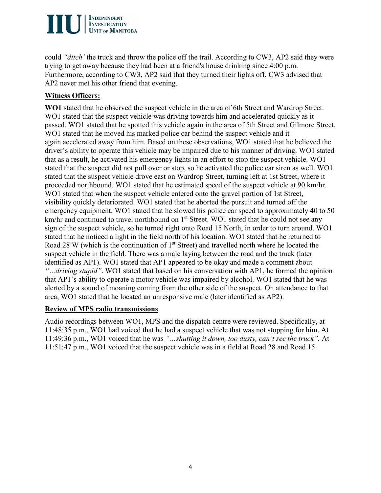# **INDEPENDENT<br>INVESTIGATION<br>UNIT OF MANITOBA**

could *"ditch'* the truck and throw the police off the trail. According to CW3, AP2 said they were trying to get away because they had been at a friend's house drinking since 4:00 p.m. Furthermore, according to CW3, AP2 said that they turned their lights off. CW3 advised that AP2 never met his other friend that evening.

#### **Witness Officers:**

**WO1** stated that he observed the suspect vehicle in the area of 6th Street and Wardrop Street. WO1 stated that the suspect vehicle was driving towards him and accelerated quickly as it passed. WO1 stated that he spotted this vehicle again in the area of 5th Street and Gilmore Street. WO1 stated that he moved his marked police car behind the suspect vehicle and it again accelerated away from him. Based on these observations, WO1 stated that he believed the driver's ability to operate this vehicle may be impaired due to his manner of driving. WO1 stated that as a result, he activated his emergency lights in an effort to stop the suspect vehicle. WO1 stated that the suspect did not pull over or stop, so he activated the police car siren as well. WO1 stated that the suspect vehicle drove east on Wardrop Street, turning left at 1st Street, where it proceeded northbound. WO1 stated that he estimated speed of the suspect vehicle at 90 km/hr. WO1 stated that when the suspect vehicle entered onto the gravel portion of 1st Street, visibility quickly deteriorated. WO1 stated that he aborted the pursuit and turned off the emergency equipment. WO1 stated that he slowed his police car speed to approximately 40 to 50 km/hr and continued to travel northbound on 1<sup>st</sup> Street. WO1 stated that he could not see any sign of the suspect vehicle, so he turned right onto Road 15 North, in order to turn around. WO1 stated that he noticed a light in the field north of his location. WO1 stated that he returned to Road 28 W (which is the continuation of  $1<sup>st</sup>$  Street) and travelled north where he located the suspect vehicle in the field. There was a male laying between the road and the truck (later identified as AP1). WO1 stated that AP1 appeared to be okay and made a comment about *"…driving stupid"*. WO1 stated that based on his conversation with AP1, he formed the opinion that AP1's ability to operate a motor vehicle was impaired by alcohol. WO1 stated that he was alerted by a sound of moaning coming from the other side of the suspect. On attendance to that area, WO1 stated that he located an unresponsive male (later identified as AP2).

#### **Review of MPS radio transmissions**

Audio recordings between WO1, MPS and the dispatch centre were reviewed. Specifically, at 11:48:35 p.m., WO1 had voiced that he had a suspect vehicle that was not stopping for him. At 11:49:36 p.m., WO1 voiced that he was *"…shutting it down, too dusty, can't see the truck".* At 11:51:47 p.m., WO1 voiced that the suspect vehicle was in a field at Road 28 and Road 15.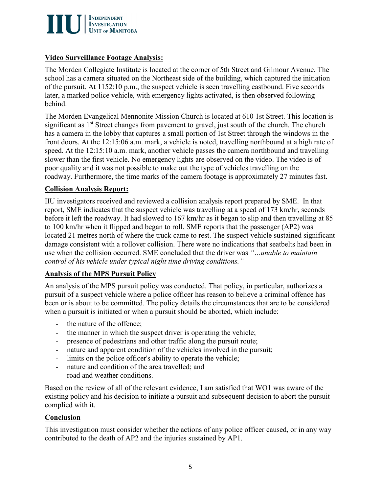

#### **Video Surveillance Footage Analysis:**

The Morden Collegiate Institute is located at the corner of 5th Street and Gilmour Avenue. The school has a camera situated on the Northeast side of the building, which captured the initiation of the pursuit. At 1152:10 p.m., the suspect vehicle is seen travelling eastbound. Five seconds later, a marked police vehicle, with emergency lights activated, is then observed following behind.

The Morden Evangelical Mennonite Mission Church is located at 610 1st Street. This location is significant as 1<sup>st</sup> Street changes from pavement to gravel, just south of the church. The church has a camera in the lobby that captures a small portion of 1st Street through the windows in the front doors. At the 12:15:06 a.m. mark, a vehicle is noted, travelling northbound at a high rate of speed. At the 12:15:10 a.m. mark, another vehicle passes the camera northbound and travelling slower than the first vehicle. No emergency lights are observed on the video. The video is of poor quality and it was not possible to make out the type of vehicles travelling on the roadway. Furthermore, the time marks of the camera footage is approximately 27 minutes fast.

#### **Collision Analysis Report:**

IIU investigators received and reviewed a collision analysis report prepared by SME. In that report, SME indicates that the suspect vehicle was travelling at a speed of 173 km/hr, seconds before it left the roadway. It had slowed to 167 km/hr as it began to slip and then travelling at 85 to 100 km/hr when it flipped and began to roll. SME reports that the passenger (AP2) was located 21 metres north of where the truck came to rest. The suspect vehicle sustained significant damage consistent with a rollover collision. There were no indications that seatbelts had been in use when the collision occurred. SME concluded that the driver was *"…unable to maintain control of his vehicle under typical night time driving conditions."*

#### **Analysis of the MPS Pursuit Policy**

An analysis of the MPS pursuit policy was conducted. That policy, in particular, authorizes a pursuit of a suspect vehicle where a police officer has reason to believe a criminal offence has been or is about to be committed. The policy details the circumstances that are to be considered when a pursuit is initiated or when a pursuit should be aborted, which include:

- the nature of the offence;
- the manner in which the suspect driver is operating the vehicle;
- presence of pedestrians and other traffic along the pursuit route;
- nature and apparent condition of the vehicles involved in the pursuit;
- limits on the police officer's ability to operate the vehicle;
- nature and condition of the area travelled; and
- road and weather conditions.

Based on the review of all of the relevant evidence, I am satisfied that WO1 was aware of the existing policy and his decision to initiate a pursuit and subsequent decision to abort the pursuit complied with it.

#### **Conclusion**

This investigation must consider whether the actions of any police officer caused, or in any way contributed to the death of AP2 and the injuries sustained by AP1.